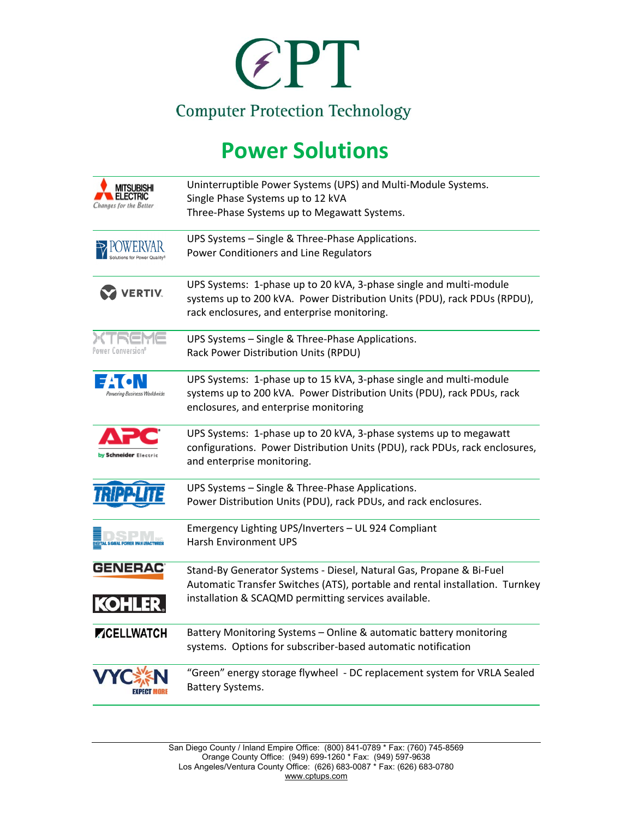

## **Power Solutions**

| MI I SUBISHI<br>FLECTRIC<br>Changes for the Better | Uninterruptible Power Systems (UPS) and Multi-Module Systems.<br>Single Phase Systems up to 12 kVA                                   |
|----------------------------------------------------|--------------------------------------------------------------------------------------------------------------------------------------|
|                                                    | Three-Phase Systems up to Megawatt Systems.                                                                                          |
|                                                    | UPS Systems - Single & Three-Phase Applications.                                                                                     |
|                                                    | Power Conditioners and Line Regulators                                                                                               |
| <b>VERTIV.</b>                                     | UPS Systems: 1-phase up to 20 kVA, 3-phase single and multi-module                                                                   |
|                                                    | systems up to 200 kVA. Power Distribution Units (PDU), rack PDUs (RPDU),<br>rack enclosures, and enterprise monitoring.              |
| Pawer Canversion <sup>s</sup>                      | UPS Systems - Single & Three-Phase Applications.                                                                                     |
|                                                    | Rack Power Distribution Units (RPDU)                                                                                                 |
| wering Business Worldwide                          | UPS Systems: 1-phase up to 15 kVA, 3-phase single and multi-module                                                                   |
|                                                    | systems up to 200 kVA. Power Distribution Units (PDU), rack PDUs, rack<br>enclosures, and enterprise monitoring                      |
| by Schneider Electric                              | UPS Systems: 1-phase up to 20 kVA, 3-phase systems up to megawatt                                                                    |
|                                                    | configurations. Power Distribution Units (PDU), rack PDUs, rack enclosures,<br>and enterprise monitoring.                            |
|                                                    | UPS Systems - Single & Three-Phase Applications.                                                                                     |
|                                                    | Power Distribution Units (PDU), rack PDUs, and rack enclosures.                                                                      |
|                                                    | Emergency Lighting UPS/Inverters - UL 924 Compliant<br><b>Harsh Environment UPS</b>                                                  |
|                                                    |                                                                                                                                      |
| <b>GENERAC</b>                                     | Stand-By Generator Systems - Diesel, Natural Gas, Propane & Bi-Fuel                                                                  |
|                                                    | Automatic Transfer Switches (ATS), portable and rental installation. Turnkey<br>installation & SCAQMD permitting services available. |
| KOHLE                                              |                                                                                                                                      |
| <b>ZICELLWATCH</b>                                 | Battery Monitoring Systems - Online & automatic battery monitoring                                                                   |
|                                                    | systems. Options for subscriber-based automatic notification                                                                         |
|                                                    | "Green" energy storage flywheel - DC replacement system for VRLA Sealed                                                              |
|                                                    | <b>Battery Systems.</b>                                                                                                              |